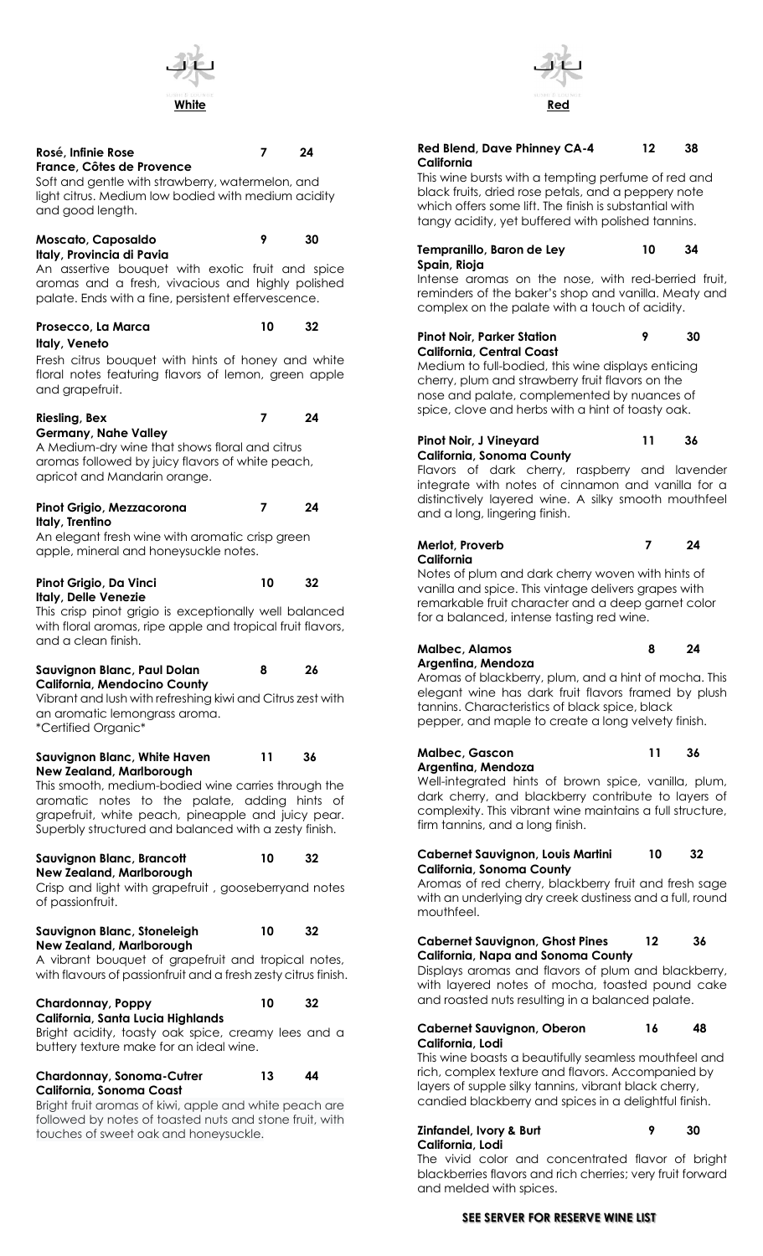

### **Rosé, Infinie Rose 7 24 France, Côtes de Provence**

Soft and gentle with strawberry, watermelon, and light citrus. Medium low bodied with medium acidity and good length.

# **Moscato, Caposaldo 9 30**

**Italy, Provincia di Pavia**

An assertive bouquet with exotic fruit and spice aromas and a fresh, vivacious and highly polished palate. Ends with a fine, persistent effervescence.

## **Prosecco, La Marca 10 32 Italy, Veneto**

Fresh citrus bouquet with hints of honey and white floral notes featuring flavors of lemon, green apple and grapefruit.

## **Riesling, Bex 7 24**

# **Germany, Nahe Valley**

A Medium-dry wine that shows floral and citrus aromas followed by juicy flavors of white peach, apricot and Mandarin orange.

#### **Pinot Grigio, Mezzacorona 7 24 Italy, Trentino**

An elegant fresh wine with aromatic crisp green apple, mineral and honeysuckle notes.

#### **Pinot Grigio, Da Vinci 10 32 Italy, Delle Venezie**

This crisp pinot grigio is exceptionally well balanced with floral aromas, ripe apple and tropical fruit flavors, and a clean finish.

### **Sauvignon Blanc, Paul Dolan 8 26 California, Mendocino County**

Vibrant and lush with refreshing kiwi and Citrus zest with an aromatic lemongrass aroma. \*Certified Organic\*

#### **Sauvignon Blanc, White Haven 11 36 New Zealand, Marlborough**

This smooth, medium-bodied wine carries through the aromatic notes to the palate, adding hints of grapefruit, white peach, pineapple and juicy pear. Superbly structured and balanced with a zesty finish.

## **Sauvignon Blanc, Brancott 10 32**

**New Zealand, Marlborough** Crisp and light with grapefruit , gooseberryand notes of passionfruit.

# **Sauvignon Blanc, Stoneleigh 10 32**

**New Zealand, Marlborough** A vibrant bouquet of grapefruit and tropical notes, with flavours of passionfruit and a fresh zesty citrus finish.

#### **Chardonnay, Poppy 10 32 California, Santa Lucia Highlands**

Bright acidity, toasty oak spice, creamy lees and a buttery texture make for an ideal wine.

#### **Chardonnay, Sonoma-Cutrer 13 44 California, Sonoma Coast**

Bright fruit aromas of kiwi, apple and white peach are followed by notes of toasted nuts and stone fruit, with touches of sweet oak and honeysuckle.



### **Red Blend, Dave Phinney CA-4 12 38 California**

This wine bursts with a tempting perfume of red and black fruits, dried rose petals, and a peppery note which offers some lift. The finish is substantial with tangy acidity, yet buffered with polished tannins.

#### **Tempranillo, Baron de Ley 10 34 Spain, Rioja**

Intense aromas on the nose, with red-berried fruit, reminders of the baker's shop and vanilla. Meaty and complex on the palate with a touch of acidity.

#### **Pinot Noir, Parker Station 9 30 California, Central Coast**

Medium to full-bodied, this wine displays enticing cherry, plum and strawberry fruit flavors on the nose and palate, complemented by nuances of spice, clove and herbs with a hint of toasty oak.

#### **Pinot Noir, J Vineyard 11 36 California, Sonoma County**

Flavors of dark cherry, raspberry and lavender integrate with notes of cinnamon and vanilla for a distinctively layered wine. A silky smooth mouthfeel and a long, lingering finish.

## **Merlot, Proverb 7 24 California**

Notes of plum and dark cherry woven with hints of vanilla and spice. This vintage delivers grapes with remarkable fruit character and a deep garnet color for a balanced, intense tasting red wine.

#### **Malbec, Alamos 8 24 Argentina, Mendoza**

Aromas of blackberry, plum, and a hint of mocha. This elegant wine has dark fruit flavors framed by plush tannins. Characteristics of black spice, black pepper, and maple to create a long velvety finish.

#### **Malbec, Gascon 11 36 Argentina, Mendoza**

Well-integrated hints of brown spice, vanilla, plum,

dark cherry, and blackberry contribute to layers of complexity. This vibrant wine maintains a full structure, firm tannins, and a long finish.

#### **Cabernet Sauvignon, Louis Martini 10 32 California, Sonoma County**

Aromas of red cherry, blackberry fruit and fresh sage with an underlying dry creek dustiness and a full, round mouthfeel.

## **Cabernet Sauvignon, Ghost Pines 12 36 California, Napa and Sonoma County**

Displays aromas and flavors of plum and blackberry, with layered notes of mocha, toasted pound cake and roasted nuts resulting in a balanced palate.

### **Cabernet Sauvignon, Oberon 16 48 California, Lodi**

This wine boasts a beautifully seamless mouthfeel and rich, complex texture and flavors. Accompanied by layers of supple silky tannins, vibrant black cherry, candied blackberry and spices in a delightful finish.

## **Zinfandel, Ivory & Burt 9 30 California, Lodi**

The vivid color and concentrated flavor of bright blackberries flavors and rich cherries; very fruit forward and melded with spices.

## **SEE SERVER FOR RESERVE WINE LIST**